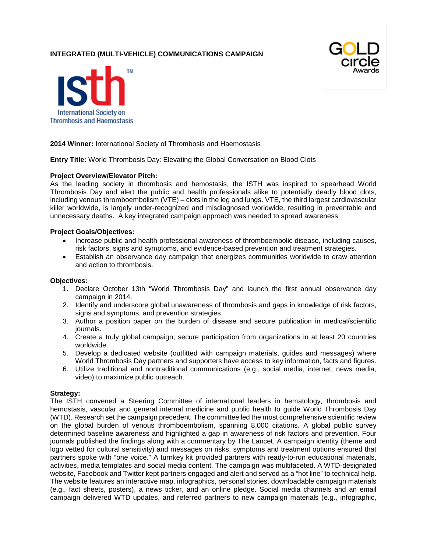# **INTEGRATED (MULTI-VEHICLE) COMMUNICATIONS CAMPAIGN**





### **2014 Winner:** International Society of Thrombosis and Haemostasis

**Entry Title:** World Thrombosis Day: Elevating the Global Conversation on Blood Clots

#### **Project Overview/Elevator Pitch:**

As the leading society in thrombosis and hemostasis, the ISTH was inspired to spearhead World Thrombosis Day and alert the public and health professionals alike to potentially deadly blood clots, including venous thromboembolism (VTE) – clots in the leg and lungs. VTE, the third largest cardiovascular killer worldwide, is largely under-recognized and misdiagnosed worldwide, resulting in preventable and unnecessary deaths. A key integrated campaign approach was needed to spread awareness.

#### **Project Goals/Objectives:**

- Increase public and health professional awareness of thromboembolic disease, including causes, risk factors, signs and symptoms, and evidence-based prevention and treatment strategies.
- Establish an observance day campaign that energizes communities worldwide to draw attention and action to thrombosis.

#### **Objectives:**

- 1. Declare October 13th "World Thrombosis Day" and launch the first annual observance day campaign in 2014.
- 2. Identify and underscore global unawareness of thrombosis and gaps in knowledge of risk factors, signs and symptoms, and prevention strategies.
- 3. Author a position paper on the burden of disease and secure publication in medical/scientific journals.
- 4. Create a truly global campaign; secure participation from organizations in at least 20 countries worldwide.
- 5. Develop a dedicated website (outfitted with campaign materials, guides and messages) where World Thrombosis Day partners and supporters have access to key information, facts and figures.
- 6. Utilize traditional and nontraditional communications (e.g., social media, internet, news media, video) to maximize public outreach.

#### **Strategy:**

The ISTH convened a Steering Committee of international leaders in hematology, thrombosis and hemostasis, vascular and general internal medicine and public health to guide World Thrombosis Day (WTD). Research set the campaign precedent. The committee led the most comprehensive scientific review on the global burden of venous thromboembolism, spanning 8,000 citations. A global public survey determined baseline awareness and highlighted a gap in awareness of risk factors and prevention. Four journals published the findings along with a commentary by The Lancet. A campaign identity (theme and logo vetted for cultural sensitivity) and messages on risks, symptoms and treatment options ensured that partners spoke with "one voice." A turnkey kit provided partners with ready-to-run educational materials, activities, media templates and social media content. The campaign was multifaceted. A WTD-designated website, Facebook and Twitter kept partners engaged and alert and served as a "hot line" to technical help. The website features an interactive map, infographics, personal stories, downloadable campaign materials (e.g., fact sheets, posters), a news ticker, and an online pledge. Social media channels and an email campaign delivered WTD updates, and referred partners to new campaign materials (e.g., infographic,